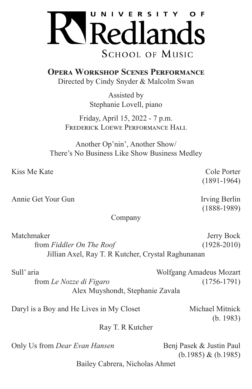

**Opera Workshop Scenes Performance** Directed by Cindy Snyder & Malcolm Swan

> Assisted by Stephanie Lovell, piano

Friday, April 15, 2022 - 7 p.m. FREDERICK LOEWE PERFORMANCE HALL

Another Op'nin', Another Show/ There's No Business Like Show Business Medley

Kiss Me Kate Cole Porter

Annie Get Your Gun Irving Berlin

## Company

Matchmaker Jerry Bock from *Fiddler On The Roof* (1928-2010) Jillian Axel, Ray T. R Kutcher, Crystal Raghunanan

| Sull'aria                        | Wolfgang Amadeus Mozart |
|----------------------------------|-------------------------|
| from Le Nozze di Figaro          | $(1756 - 1791)$         |
| Alex Muyshondt, Stephanie Zavala |                         |

Daryl is a Boy and He Lives in My Closet Michael Mitnick

(b. 1983)

Ray T. R Kutcher

Only Us from *Dear Evan Hansen* Benj Pasek & Justin Paul

(b.1985) & (b.1985)

Bailey Cabrera, Nicholas Ahmet

(1891-1964)

(1888-1989)